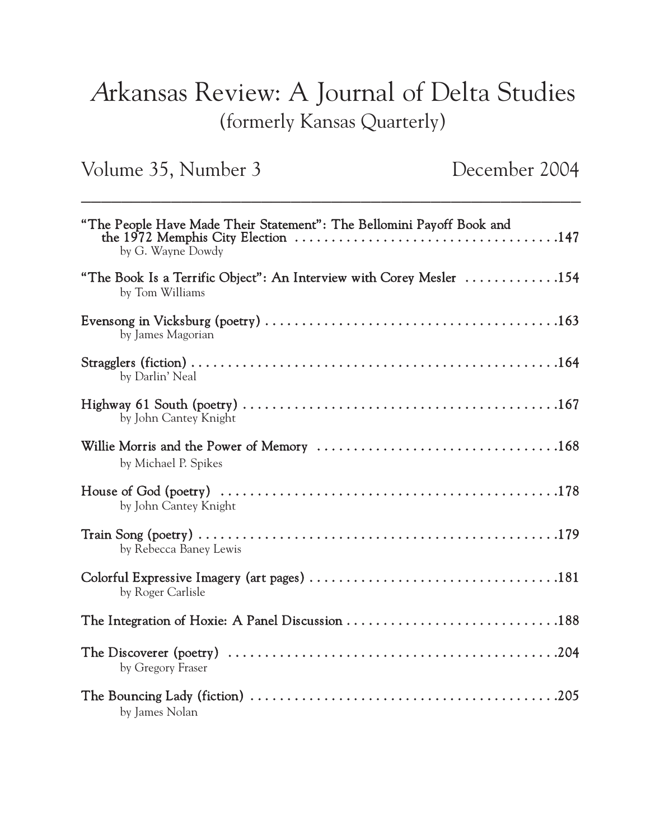## Arkansas Review: A Journal of Delta Studies (formerly Kansas Quarterly)

Volume 35, Number 3 December 2004

| "The People Have Made Their Statement": The Bellomini Payoff Book and<br>by G. Wayne Dowdy |
|--------------------------------------------------------------------------------------------|
| "The Book Is a Terrific Object": An Interview with Corey Mesler 154<br>by Tom Williams     |
| by James Magorian                                                                          |
| by Darlin' Neal                                                                            |
| by John Cantey Knight                                                                      |
| by Michael P. Spikes                                                                       |
| by John Cantey Knight                                                                      |
| by Rebecca Baney Lewis                                                                     |
| by Roger Carlisle                                                                          |
|                                                                                            |
| by Gregory Fraser                                                                          |
| by James Nolan                                                                             |